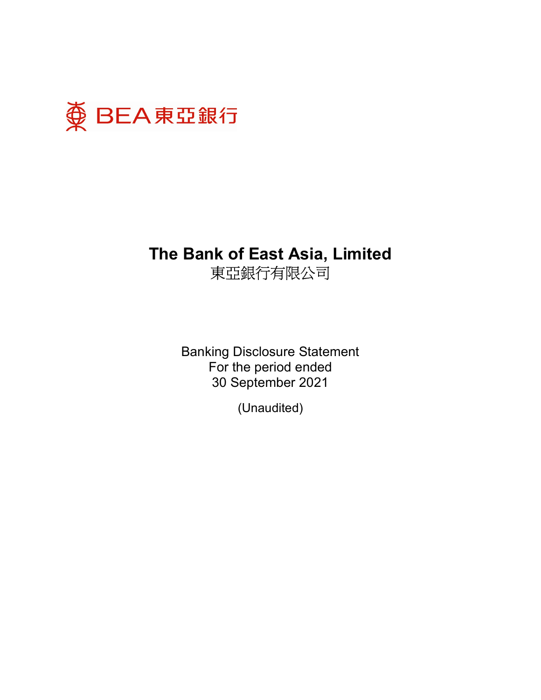

Banking Disclosure Statement For the period ended 30 September 2021

(Unaudited)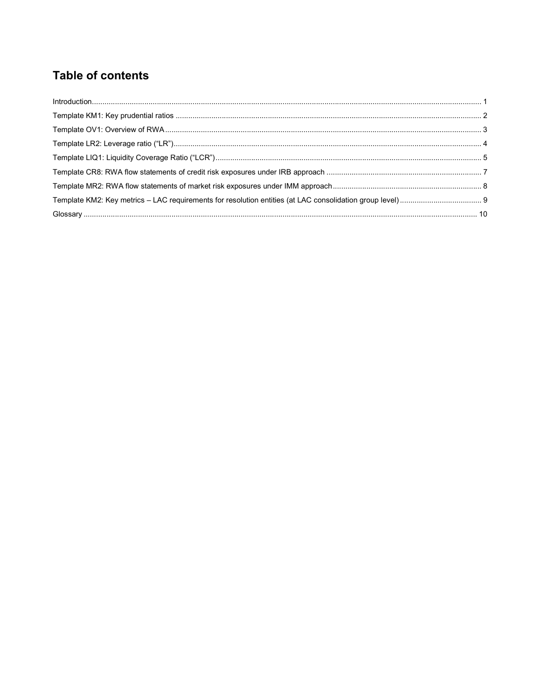## **Table of contents**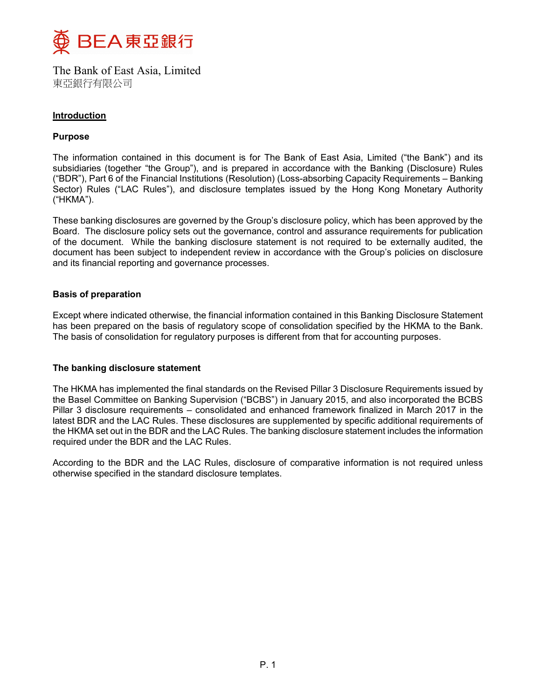

#### Introduction

### Purpose

The information contained in this document is for The Bank of East Asia, Limited ("the Bank") and its subsidiaries (together "the Group"), and is prepared in accordance with the Banking (Disclosure) Rules ("BDR"), Part 6 of the Financial Institutions (Resolution) (Loss-absorbing Capacity Requirements – Banking Sector) Rules ("LAC Rules"), and disclosure templates issued by the Hong Kong Monetary Authority ("HKMA").

These banking disclosures are governed by the Group's disclosure policy, which has been approved by the Board. The disclosure policy sets out the governance, control and assurance requirements for publication of the document. While the banking disclosure statement is not required to be externally audited, the document has been subject to independent review in accordance with the Group's policies on disclosure and its financial reporting and governance processes.

#### Basis of preparation

Except where indicated otherwise, the financial information contained in this Banking Disclosure Statement has been prepared on the basis of regulatory scope of consolidation specified by the HKMA to the Bank. The basis of consolidation for regulatory purposes is different from that for accounting purposes.

#### The banking disclosure statement

The HKMA has implemented the final standards on the Revised Pillar 3 Disclosure Requirements issued by the Basel Committee on Banking Supervision ("BCBS") in January 2015, and also incorporated the BCBS Pillar 3 disclosure requirements – consolidated and enhanced framework finalized in March 2017 in the latest BDR and the LAC Rules. These disclosures are supplemented by specific additional requirements of the HKMA set out in the BDR and the LAC Rules. The banking disclosure statement includes the information required under the BDR and the LAC Rules.

According to the BDR and the LAC Rules, disclosure of comparative information is not required unless otherwise specified in the standard disclosure templates.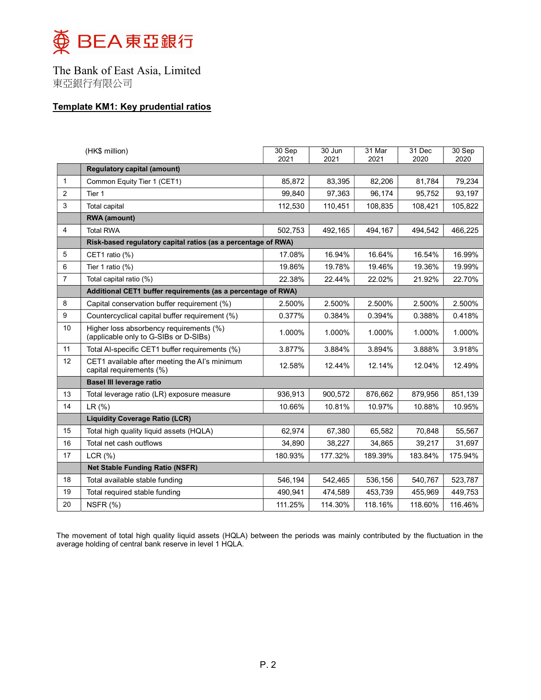

## Template KM1: Key prudential ratios

|                | (HK\$ million)                                                                   | 30 Sep<br>2021 | $30$ Jun<br>2021 | 31 Mar<br>2021 | 31 Dec<br>2020 | 30 Sep<br>2020 |
|----------------|----------------------------------------------------------------------------------|----------------|------------------|----------------|----------------|----------------|
|                | <b>Requlatory capital (amount)</b>                                               |                |                  |                |                |                |
| $\mathbf{1}$   | Common Equity Tier 1 (CET1)                                                      | 85,872         | 83,395           | 82,206         | 81,784         | 79,234         |
| $\overline{2}$ | Tier 1                                                                           | 99.840         | 97.363           | 96.174         | 95.752         | 93,197         |
| 3              | <b>Total capital</b>                                                             | 112,530        | 110,451          | 108,835        | 108,421        | 105,822        |
|                | <b>RWA</b> (amount)                                                              |                |                  |                |                |                |
| 4              | <b>Total RWA</b>                                                                 | 502,753        | 492,165          | 494,167        | 494,542        | 466,225        |
|                | Risk-based regulatory capital ratios (as a percentage of RWA)                    |                |                  |                |                |                |
| 5              | CET1 ratio (%)                                                                   | 17.08%         | 16.94%           | 16.64%         | 16.54%         | 16.99%         |
| 6              | Tier 1 ratio $(%)$                                                               | 19.86%         | 19.78%           | 19.46%         | 19.36%         | 19.99%         |
| $\overline{7}$ | Total capital ratio (%)                                                          | 22.38%         | 22.44%           | 22.02%         | 21.92%         | 22.70%         |
|                | Additional CET1 buffer requirements (as a percentage of RWA)                     |                |                  |                |                |                |
| 8              | Capital conservation buffer requirement (%)                                      | 2.500%         | 2.500%           | 2.500%         | 2.500%         | 2.500%         |
| 9              | Countercyclical capital buffer requirement (%)                                   | 0.377%         | 0.384%           | 0.394%         | 0.388%         | 0.418%         |
| 10             | Higher loss absorbency requirements (%)<br>(applicable only to G-SIBs or D-SIBs) | 1.000%         | 1.000%           | 1.000%         | 1.000%         | 1.000%         |
| 11             | Total Al-specific CET1 buffer requirements (%)                                   | 3.877%         | 3.884%           | 3.894%         | 3.888%         | 3.918%         |
| 12             | CET1 available after meeting the AI's minimum<br>capital requirements (%)        | 12.58%         | 12.44%           | 12.14%         | 12.04%         | 12.49%         |
|                | <b>Basel III leverage ratio</b>                                                  |                |                  |                |                |                |
| 13             | Total leverage ratio (LR) exposure measure                                       | 936,913        | 900,572          | 876,662        | 879,956        | 851,139        |
| 14             | LR (%)                                                                           | 10.66%         | 10.81%           | 10.97%         | 10.88%         | 10.95%         |
|                | <b>Liquidity Coverage Ratio (LCR)</b>                                            |                |                  |                |                |                |
| 15             | Total high quality liquid assets (HQLA)                                          | 62,974         | 67,380           | 65,582         | 70,848         | 55,567         |
| 16             | Total net cash outflows                                                          | 34,890         | 38,227           | 34,865         | 39,217         | 31,697         |
| 17             | LCR(%)                                                                           | 180.93%        | 177.32%          | 189.39%        | 183.84%        | 175.94%        |
|                | <b>Net Stable Funding Ratio (NSFR)</b>                                           |                |                  |                |                |                |
| 18             | Total available stable funding                                                   | 546.194        | 542.465          | 536,156        | 540,767        | 523,787        |
| 19             | Total required stable funding                                                    | 490,941        | 474,589          | 453,739        | 455,969        | 449,753        |
| 20             | NSFR (%)                                                                         | 111.25%        | 114.30%          | 118.16%        | 118.60%        | 116.46%        |

The movement of total high quality liquid assets (HQLA) between the periods was mainly contributed by the fluctuation in the average holding of central bank reserve in level 1 HQLA.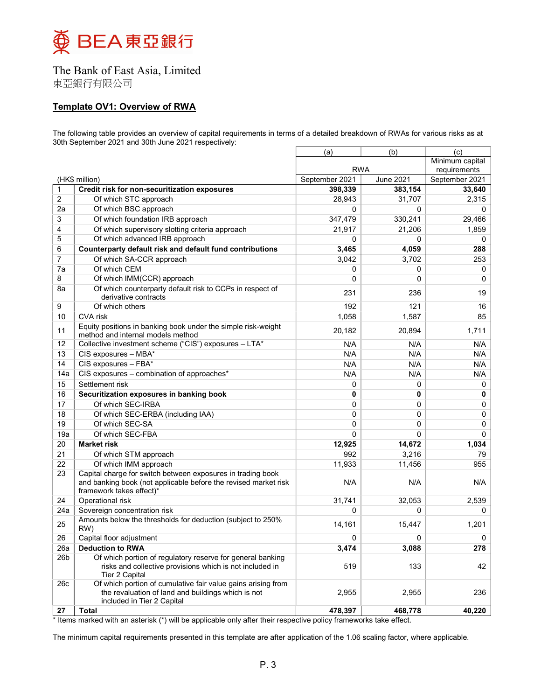

東亞銀行有限公司

### Template OV1: Overview of RWA

The following table provides an overview of capital requirements in terms of a detailed breakdown of RWAs for various risks as at 30th September 2021 and 30th June 2021 respectively:

|                 |                                                                                                                                                  | (a)            | (b)              | (c)            |
|-----------------|--------------------------------------------------------------------------------------------------------------------------------------------------|----------------|------------------|----------------|
|                 |                                                                                                                                                  |                | Minimum capital  |                |
|                 |                                                                                                                                                  | <b>RWA</b>     |                  | requirements   |
|                 | (HK\$ million)                                                                                                                                   | September 2021 | <b>June 2021</b> | September 2021 |
| $\mathbf{1}$    | Credit risk for non-securitization exposures                                                                                                     | 398,339        | 383,154          | 33,640         |
| $\overline{c}$  | Of which STC approach<br>Of which BSC approach                                                                                                   | 28,943         | 31,707           | 2,315          |
| 2a              |                                                                                                                                                  | 0              | $\Omega$         | $\mathbf{0}$   |
| 3               | Of which foundation IRB approach                                                                                                                 | 347,479        | 330,241          | 29,466         |
| 4               | Of which supervisory slotting criteria approach                                                                                                  | 21,917         | 21,206           | 1,859          |
| 5               | Of which advanced IRB approach                                                                                                                   | 0              | 0                | 0              |
| 6               | Counterparty default risk and default fund contributions                                                                                         | 3,465          | 4,059            | 288            |
| $\overline{7}$  | Of which SA-CCR approach                                                                                                                         | 3,042          | 3,702            | 253            |
| 7a              | Of which CEM                                                                                                                                     | 0              | 0                | 0              |
| 8               | Of which IMM(CCR) approach                                                                                                                       | 0              | $\Omega$         | 0              |
| 8a              | Of which counterparty default risk to CCPs in respect of<br>derivative contracts                                                                 | 231            | 236              | 19             |
| 9               | Of which others                                                                                                                                  | 192            | 121              | 16             |
| 10              | <b>CVA</b> risk                                                                                                                                  | 1,058          | 1,587            | 85             |
| 11              | Equity positions in banking book under the simple risk-weight<br>method and internal models method                                               | 20,182         | 20,894           | 1,711          |
| 12              | Collective investment scheme ("CIS") exposures - LTA*                                                                                            | N/A            | N/A              | N/A            |
| 13              | CIS exposures - MBA*                                                                                                                             | N/A            | N/A              | N/A            |
| 14              | CIS exposures - FBA*                                                                                                                             | N/A            | N/A              | N/A            |
| 14a             | CIS exposures - combination of approaches*                                                                                                       | N/A            | N/A              | N/A            |
| 15              | Settlement risk                                                                                                                                  | 0              | 0                | 0              |
| 16              | Securitization exposures in banking book                                                                                                         | 0              | 0                | 0              |
| 17              | Of which SEC-IRBA                                                                                                                                | 0              | 0                | 0              |
| 18              | Of which SEC-ERBA (including IAA)                                                                                                                | 0              | 0                | 0              |
| 19              | Of which SEC-SA                                                                                                                                  | 0              | 0                | 0              |
| 19a             | Of which SEC-FBA                                                                                                                                 | 0              | 0                | 0              |
| 20              | <b>Market risk</b>                                                                                                                               | 12,925         | 14,672           | 1,034          |
| 21              |                                                                                                                                                  | 992            |                  | 79             |
| 22              | Of which STM approach<br>Of which IMM approach                                                                                                   | 11,933         | 3,216            | 955            |
| 23              | Capital charge for switch between exposures in trading book                                                                                      |                | 11,456           |                |
|                 | and banking book (not applicable before the revised market risk<br>framework takes effect)*                                                      | N/A            | N/A              | N/A            |
| 24              | Operational risk                                                                                                                                 | 31,741         | 32,053           | 2,539          |
| 24a             | Sovereign concentration risk                                                                                                                     | 0              | 0                | 0              |
| 25              | Amounts below the thresholds for deduction (subject to 250%<br>RW)                                                                               | 14,161         | 15,447           | 1,201          |
| 26              | Capital floor adjustment                                                                                                                         | 0              | 0                | 0              |
| 26a             | <b>Deduction to RWA</b>                                                                                                                          | 3,474          | 3,088            | 278            |
| 26 <sub>b</sub> | Of which portion of regulatory reserve for general banking<br>risks and collective provisions which is not included in<br>Tier 2 Capital         | 519            | 133              | 42             |
| 26c             | Of which portion of cumulative fair value gains arising from<br>the revaluation of land and buildings which is not<br>included in Tier 2 Capital | 2,955          | 2,955            | 236            |
| 27              | Total                                                                                                                                            | 478,397        | 468,778          | 40,220         |

\* Items marked with an asterisk (\*) will be applicable only after their respective policy frameworks take effect.

The minimum capital requirements presented in this template are after application of the 1.06 scaling factor, where applicable.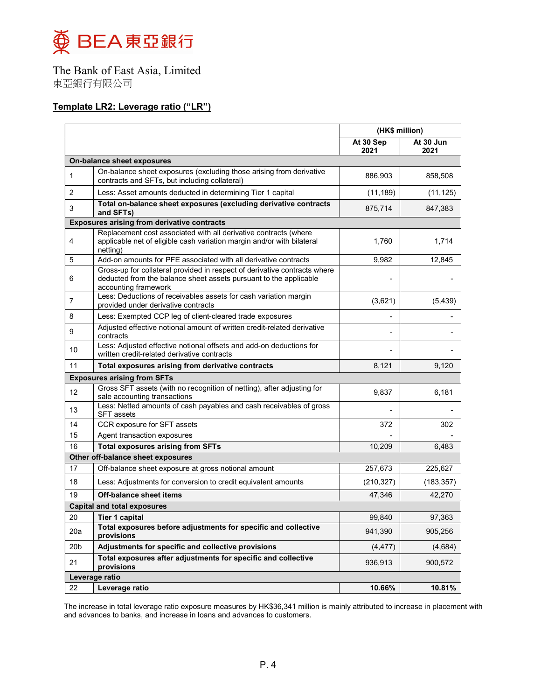

### Template LR2: Leverage ratio ("LR")

|                 |                                                                                                                                                                        | (HK\$ million)    |                   |
|-----------------|------------------------------------------------------------------------------------------------------------------------------------------------------------------------|-------------------|-------------------|
|                 |                                                                                                                                                                        | At 30 Sep<br>2021 | At 30 Jun<br>2021 |
|                 | On-balance sheet exposures                                                                                                                                             |                   |                   |
| 1               | On-balance sheet exposures (excluding those arising from derivative<br>contracts and SFTs, but including collateral)                                                   | 886,903           | 858,508           |
| $\overline{2}$  | Less: Asset amounts deducted in determining Tier 1 capital                                                                                                             | (11, 189)         | (11, 125)         |
| 3               | Total on-balance sheet exposures (excluding derivative contracts<br>and SFTs)                                                                                          | 875,714           | 847,383           |
|                 | <b>Exposures arising from derivative contracts</b>                                                                                                                     |                   |                   |
| 4               | Replacement cost associated with all derivative contracts (where<br>applicable net of eligible cash variation margin and/or with bilateral<br>netting)                 | 1,760             | 1,714             |
| 5               | Add-on amounts for PFE associated with all derivative contracts                                                                                                        | 9,982             | 12,845            |
| 6               | Gross-up for collateral provided in respect of derivative contracts where<br>deducted from the balance sheet assets pursuant to the applicable<br>accounting framework |                   |                   |
| 7               | Less: Deductions of receivables assets for cash variation margin<br>provided under derivative contracts                                                                | (3,621)           | (5, 439)          |
| 8               | Less: Exempted CCP leg of client-cleared trade exposures                                                                                                               |                   |                   |
| 9               | Adjusted effective notional amount of written credit-related derivative<br>contracts                                                                                   |                   |                   |
| 10              | Less: Adjusted effective notional offsets and add-on deductions for<br>written credit-related derivative contracts                                                     |                   |                   |
| 11              | Total exposures arising from derivative contracts                                                                                                                      | 8,121             | 9,120             |
|                 | <b>Exposures arising from SFTs</b>                                                                                                                                     |                   |                   |
| 12              | Gross SFT assets (with no recognition of netting), after adjusting for<br>sale accounting transactions                                                                 | 9,837             | 6,181             |
| 13              | Less: Netted amounts of cash payables and cash receivables of gross<br><b>SFT</b> assets                                                                               |                   |                   |
| 14              | CCR exposure for SFT assets                                                                                                                                            | 372               | 302               |
| 15              | Agent transaction exposures                                                                                                                                            |                   |                   |
| 16              | <b>Total exposures arising from SFTs</b>                                                                                                                               | 10,209            | 6,483             |
|                 | Other off-balance sheet exposures                                                                                                                                      |                   |                   |
| 17              | Off-balance sheet exposure at gross notional amount                                                                                                                    | 257,673           | 225,627           |
| 18              | Less: Adjustments for conversion to credit equivalent amounts                                                                                                          | (210, 327)        | (183, 357)        |
| 19              | <b>Off-balance sheet items</b>                                                                                                                                         | 47,346            | 42,270            |
|                 | <b>Capital and total exposures</b>                                                                                                                                     |                   |                   |
| 20              | Tier 1 capital                                                                                                                                                         | 99,840            | 97,363            |
| 20a             | Total exposures before adjustments for specific and collective<br>provisions                                                                                           | 941,390           | 905,256           |
| 20 <sub>b</sub> | Adjustments for specific and collective provisions                                                                                                                     | (4, 477)          | (4,684)           |
| 21              | Total exposures after adjustments for specific and collective<br>provisions                                                                                            | 936,913           | 900,572           |
|                 | Leverage ratio                                                                                                                                                         |                   |                   |
| 22              | Leverage ratio                                                                                                                                                         | 10.66%            | 10.81%            |

The increase in total leverage ratio exposure measures by HK\$36,341 million is mainly attributed to increase in placement with and advances to banks, and increase in loans and advances to customers.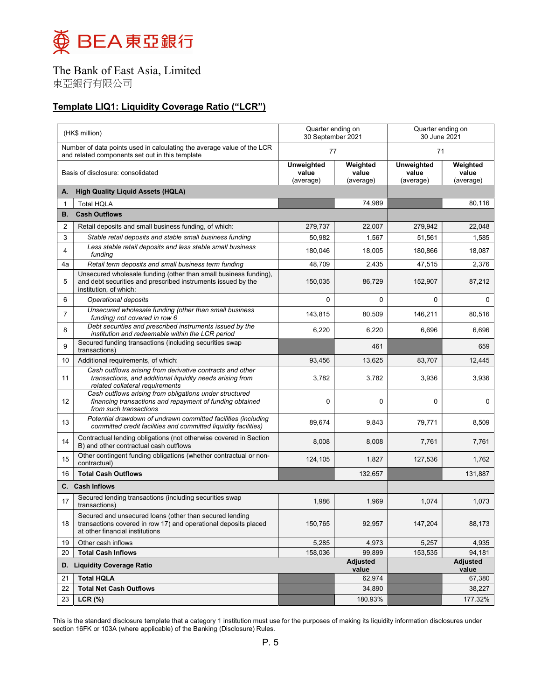

東亞銀行有限公司

## Template LIQ1: Liquidity Coverage Ratio ("LCR")

|                | (HK\$ million)                                                                                                                                                | Quarter ending on<br>30 September 2021 |                                |                                  | Quarter ending on<br>30 June 2021 |  |
|----------------|---------------------------------------------------------------------------------------------------------------------------------------------------------------|----------------------------------------|--------------------------------|----------------------------------|-----------------------------------|--|
|                | Number of data points used in calculating the average value of the LCR<br>and related components set out in this template                                     | 77                                     |                                | 71                               |                                   |  |
|                | Basis of disclosure: consolidated                                                                                                                             | Unweighted<br>value<br>(average)       | Weighted<br>value<br>(average) | Unweighted<br>value<br>(average) | Weighted<br>value<br>(average)    |  |
| А.             | <b>High Quality Liquid Assets (HQLA)</b>                                                                                                                      |                                        |                                |                                  |                                   |  |
| $\mathbf 1$    | <b>Total HQLA</b>                                                                                                                                             |                                        | 74,989                         |                                  | 80,116                            |  |
| В.             | <b>Cash Outflows</b>                                                                                                                                          |                                        |                                |                                  |                                   |  |
| $\overline{2}$ | Retail deposits and small business funding, of which:                                                                                                         | 279,737                                | 22,007                         | 279,942                          | 22,048                            |  |
| 3              | Stable retail deposits and stable small business funding                                                                                                      | 50,982                                 | 1,567                          | 51,561                           | 1,585                             |  |
| 4              | Less stable retail deposits and less stable small business<br>funding                                                                                         | 180,046                                | 18,005                         | 180,866                          | 18,087                            |  |
| 4a             | Retail term deposits and small business term funding                                                                                                          | 48,709                                 | 2,435                          | 47,515                           | 2,376                             |  |
| 5              | Unsecured wholesale funding (other than small business funding),<br>and debt securities and prescribed instruments issued by the<br>institution, of which:    | 150,035                                | 86,729                         | 152,907                          | 87,212                            |  |
| 6              | Operational deposits                                                                                                                                          | 0                                      | 0                              | 0                                | 0                                 |  |
| $\overline{7}$ | Unsecured wholesale funding (other than small business<br>funding) not covered in row 6                                                                       | 143,815                                | 80,509                         | 146,211                          | 80,516                            |  |
| 8              | Debt securities and prescribed instruments issued by the<br>institution and redeemable within the LCR period                                                  | 6,220                                  | 6,220                          | 6,696                            | 6,696                             |  |
| 9              | Secured funding transactions (including securities swap<br>transactions)                                                                                      |                                        | 461                            |                                  | 659                               |  |
| 10             | Additional requirements, of which:                                                                                                                            | 93,456                                 | 13,625                         | 83,707                           | 12,445                            |  |
| 11             | Cash outflows arising from derivative contracts and other<br>transactions, and additional liquidity needs arising from<br>related collateral requirements     | 3,782                                  | 3,782                          | 3,936                            | 3,936                             |  |
| 12             | Cash outflows arising from obligations under structured<br>financing transactions and repayment of funding obtained<br>from such transactions                 | $\mathbf 0$                            | $\Omega$                       | $\Omega$                         | 0                                 |  |
| 13             | Potential drawdown of undrawn committed facilities (including<br>committed credit facilities and committed liquidity facilities)                              | 89,674                                 | 9,843                          | 79,771                           | 8,509                             |  |
| 14             | Contractual lending obligations (not otherwise covered in Section<br>B) and other contractual cash outflows                                                   | 8,008                                  | 8,008                          | 7,761                            | 7,761                             |  |
| 15             | Other contingent funding obligations (whether contractual or non-<br>contractual)                                                                             | 124,105                                | 1,827                          | 127,536                          | 1,762                             |  |
| 16             | <b>Total Cash Outflows</b>                                                                                                                                    |                                        | 132,657                        |                                  | 131,887                           |  |
|                | C. Cash Inflows                                                                                                                                               |                                        |                                |                                  |                                   |  |
| 17             | Secured lending transactions (including securities swap<br>transactions)                                                                                      | 1,986                                  | 1,969                          | 1,074                            | 1,073                             |  |
| 18             | Secured and unsecured loans (other than secured lending<br>transactions covered in row 17) and operational deposits placed<br>at other financial institutions | 150,765                                | 92,957                         | 147,204                          | 88,173                            |  |
| 19             | Other cash inflows                                                                                                                                            | 5,285                                  | 4,973                          | 5,257                            | 4,935                             |  |
| 20             | <b>Total Cash Inflows</b>                                                                                                                                     | 158,036                                | 99,899                         | 153,535                          | 94,181                            |  |
| D.             | <b>Liquidity Coverage Ratio</b>                                                                                                                               |                                        | Adjusted<br>value              |                                  | <b>Adjusted</b><br>value          |  |
| 21             | <b>Total HQLA</b>                                                                                                                                             |                                        | 62,974                         |                                  | 67,380                            |  |
| 22             | <b>Total Net Cash Outflows</b>                                                                                                                                |                                        | 34,890                         |                                  | 38,227                            |  |
| 23             | LCR (%)                                                                                                                                                       |                                        | 180.93%                        |                                  | 177.32%                           |  |

This is the standard disclosure template that a category 1 institution must use for the purposes of making its liquidity information disclosures under section 16FK or 103A (where applicable) of the Banking (Disclosure) Rules.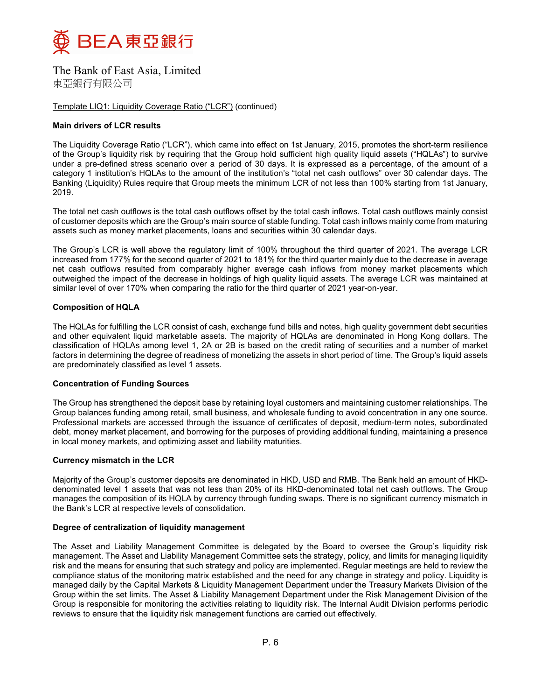

Template LIQ1: Liquidity Coverage Ratio ("LCR") (continued)

#### Main drivers of LCR results

The Liquidity Coverage Ratio ("LCR"), which came into effect on 1st January, 2015, promotes the short-term resilience of the Group's liquidity risk by requiring that the Group hold sufficient high quality liquid assets ("HQLAs") to survive under a pre-defined stress scenario over a period of 30 days. It is expressed as a percentage, of the amount of a category 1 institution's HQLAs to the amount of the institution's "total net cash outflows" over 30 calendar days. The Banking (Liquidity) Rules require that Group meets the minimum LCR of not less than 100% starting from 1st January, 2019.

The total net cash outflows is the total cash outflows offset by the total cash inflows. Total cash outflows mainly consist of customer deposits which are the Group's main source of stable funding. Total cash inflows mainly come from maturing assets such as money market placements, loans and securities within 30 calendar days.

The Group's LCR is well above the regulatory limit of 100% throughout the third quarter of 2021. The average LCR increased from 177% for the second quarter of 2021 to 181% for the third quarter mainly due to the decrease in average net cash outflows resulted from comparably higher average cash inflows from money market placements which outweighed the impact of the decrease in holdings of high quality liquid assets. The average LCR was maintained at similar level of over 170% when comparing the ratio for the third quarter of 2021 year-on-year.

#### Composition of HQLA

The HQLAs for fulfilling the LCR consist of cash, exchange fund bills and notes, high quality government debt securities and other equivalent liquid marketable assets. The majority of HQLAs are denominated in Hong Kong dollars. The classification of HQLAs among level 1, 2A or 2B is based on the credit rating of securities and a number of market factors in determining the degree of readiness of monetizing the assets in short period of time. The Group's liquid assets are predominately classified as level 1 assets.

#### Concentration of Funding Sources

The Group has strengthened the deposit base by retaining loyal customers and maintaining customer relationships. The Group balances funding among retail, small business, and wholesale funding to avoid concentration in any one source. Professional markets are accessed through the issuance of certificates of deposit, medium-term notes, subordinated debt, money market placement, and borrowing for the purposes of providing additional funding, maintaining a presence in local money markets, and optimizing asset and liability maturities.

#### Currency mismatch in the LCR

Majority of the Group's customer deposits are denominated in HKD, USD and RMB. The Bank held an amount of HKDdenominated level 1 assets that was not less than 20% of its HKD-denominated total net cash outflows. The Group manages the composition of its HQLA by currency through funding swaps. There is no significant currency mismatch in the Bank's LCR at respective levels of consolidation.

#### Degree of centralization of liquidity management

The Asset and Liability Management Committee is delegated by the Board to oversee the Group's liquidity risk management. The Asset and Liability Management Committee sets the strategy, policy, and limits for managing liquidity risk and the means for ensuring that such strategy and policy are implemented. Regular meetings are held to review the compliance status of the monitoring matrix established and the need for any change in strategy and policy. Liquidity is managed daily by the Capital Markets & Liquidity Management Department under the Treasury Markets Division of the Group within the set limits. The Asset & Liability Management Department under the Risk Management Division of the Group is responsible for monitoring the activities relating to liquidity risk. The Internal Audit Division performs periodic reviews to ensure that the liquidity risk management functions are carried out effectively.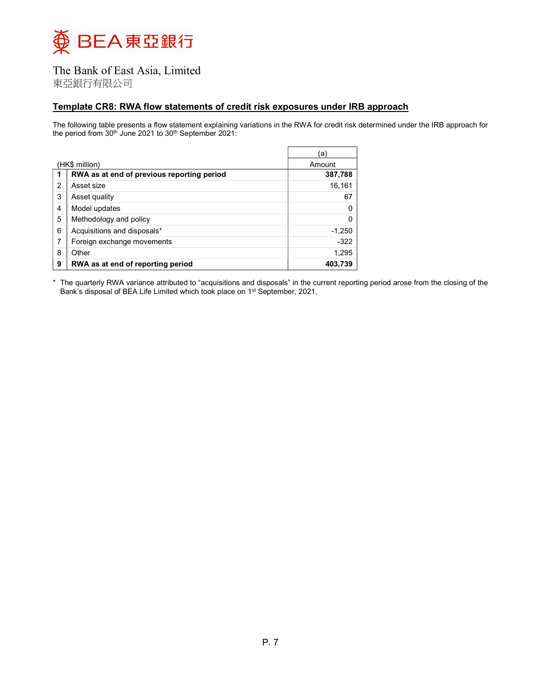

東亞銀行有限公司

#### Template CR8: RWA flow statements of credit risk exposures under IRB approach

The following table presents a flow statement explaining variations in the RWA for credit risk determined under the IRB approach for the period from 30<sup>th</sup> June 2021 to 30<sup>th</sup> September 2021:

|   |                                            | ſa`      |
|---|--------------------------------------------|----------|
|   | (HK\$ million)                             | Amount   |
| 1 | RWA as at end of previous reporting period | 387,788  |
| 2 | Asset size                                 | 16,161   |
| 3 | Asset quality                              | 67       |
| 4 | Model updates                              |          |
| 5 | Methodology and policy                     |          |
| 6 | Acquisitions and disposals*                | $-1,250$ |
| 7 | Foreign exchange movements                 | $-322$   |
| 8 | Other                                      | 1,295    |
| 9 | RWA as at end of reporting period          | 403.739  |

\* The quarterly RWA variance attributed to "acquisitions and disposals" in the current reporting period arose from the closing of the Bank's disposal of BEA Life Limited which took place on 1<sup>st</sup> September, 2021.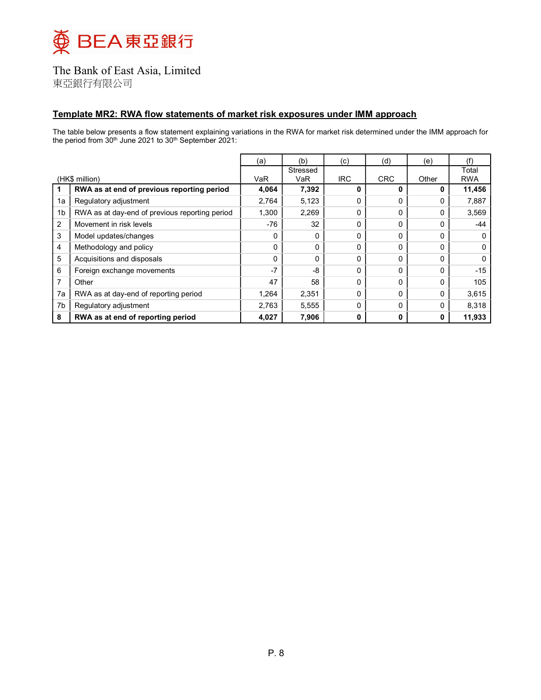

東亞銀行有限公司

### Template MR2: RWA flow statements of market risk exposures under IMM approach

The table below presents a flow statement explaining variations in the RWA for market risk determined under the IMM approach for the period from 30<sup>th</sup> June 2021 to 30<sup>th</sup> September 2021:

|                |                                                | (a)   | (b)      | (c)        | (d)          | (e)   |            |
|----------------|------------------------------------------------|-------|----------|------------|--------------|-------|------------|
|                |                                                |       | Stressed |            |              |       | Total      |
|                | (HK\$ million)                                 | VaR   | VaR      | <b>IRC</b> | <b>CRC</b>   | Other | <b>RWA</b> |
|                | RWA as at end of previous reporting period     | 4,064 | 7,392    | 0          |              | 0     | 11,456     |
| 1a             | Regulatory adjustment                          | 2,764 | 5,123    | $\Omega$   | <sup>0</sup> | 0     | 7,887      |
| 1 <sub>b</sub> | RWA as at day-end of previous reporting period | 1,300 | 2,269    | $\Omega$   | 0            | 0     | 3,569      |
| 2              | Movement in risk levels                        | -76   | 32       | $\Omega$   | <sup>0</sup> | O     | -44        |
| 3              | Model updates/changes                          | 0     | 0        | $\Omega$   | 0            | 0     |            |
| 4              | Methodology and policy                         | 0     | $\Omega$ | $\Omega$   | O            | O     | 0          |
| 5              | Acquisitions and disposals                     | 0     | $\Omega$ | $\Omega$   | <sup>0</sup> | 0     | 0          |
| 6              | Foreign exchange movements                     | $-7$  | $-8$     | 0          | O            | 0     | $-15$      |
|                | Other                                          | 47    | 58       | $\Omega$   | <sup>0</sup> | 0     | 105        |
| 7a             | RWA as at day-end of reporting period          | 1,264 | 2,351    | $\Omega$   | 0            | 0     | 3,615      |
| 7b             | Regulatory adjustment                          | 2,763 | 5,555    | $\Omega$   | <sup>0</sup> | O     | 8,318      |
| 8              | RWA as at end of reporting period              | 4,027 | 7,906    | 0          | 0            | 0     | 11,933     |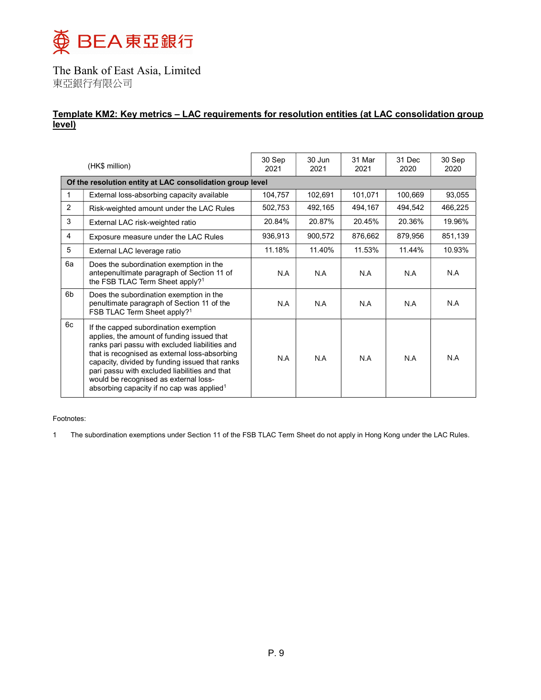

### Template KM2: Key metrics – LAC requirements for resolution entities (at LAC consolidation group level)

|              | (HK\$ million)                                                                                                                                                                                                                                                                                                                                                                              | 30 Sep<br>2021 | 30 Jun<br>2021 | 31 Mar<br>2021 | 31 Dec<br>2020 | 30 Sep<br>2020 |
|--------------|---------------------------------------------------------------------------------------------------------------------------------------------------------------------------------------------------------------------------------------------------------------------------------------------------------------------------------------------------------------------------------------------|----------------|----------------|----------------|----------------|----------------|
|              | Of the resolution entity at LAC consolidation group level                                                                                                                                                                                                                                                                                                                                   |                |                |                |                |                |
| $\mathbf{1}$ | External loss-absorbing capacity available                                                                                                                                                                                                                                                                                                                                                  | 104,757        | 102,691        | 101,071        | 100,669        | 93,055         |
| 2            | Risk-weighted amount under the LAC Rules                                                                                                                                                                                                                                                                                                                                                    | 502,753        | 492,165        | 494,167        | 494,542        | 466,225        |
| 3            | External LAC risk-weighted ratio                                                                                                                                                                                                                                                                                                                                                            | 20.84%         | 20.87%         | 20.45%         | 20.36%         | 19.96%         |
| 4            | Exposure measure under the LAC Rules                                                                                                                                                                                                                                                                                                                                                        | 936,913        | 900,572        | 876,662        | 879,956        | 851,139        |
| 5            | External LAC leverage ratio                                                                                                                                                                                                                                                                                                                                                                 | 11.18%         | 11.40%         | 11.53%         | 11.44%         | 10.93%         |
| 6a           | Does the subordination exemption in the<br>antepenultimate paragraph of Section 11 of<br>the FSB TLAC Term Sheet apply? <sup>1</sup>                                                                                                                                                                                                                                                        | N.A            | N.A            | N.A            | N.A            | N.A            |
| 6b           | Does the subordination exemption in the<br>penultimate paragraph of Section 11 of the<br>FSB TLAC Term Sheet apply? <sup>1</sup>                                                                                                                                                                                                                                                            | N.A            | N.A            | N.A            | N.A            | N.A            |
| 6c           | If the capped subordination exemption<br>applies, the amount of funding issued that<br>ranks pari passu with excluded liabilities and<br>that is recognised as external loss-absorbing<br>capacity, divided by funding issued that ranks<br>pari passu with excluded liabilities and that<br>would be recognised as external loss-<br>absorbing capacity if no cap was applied <sup>1</sup> | N.A            | N A            | N A            | N A            | N.A            |

Footnotes:

1 The subordination exemptions under Section 11 of the FSB TLAC Term Sheet do not apply in Hong Kong under the LAC Rules.